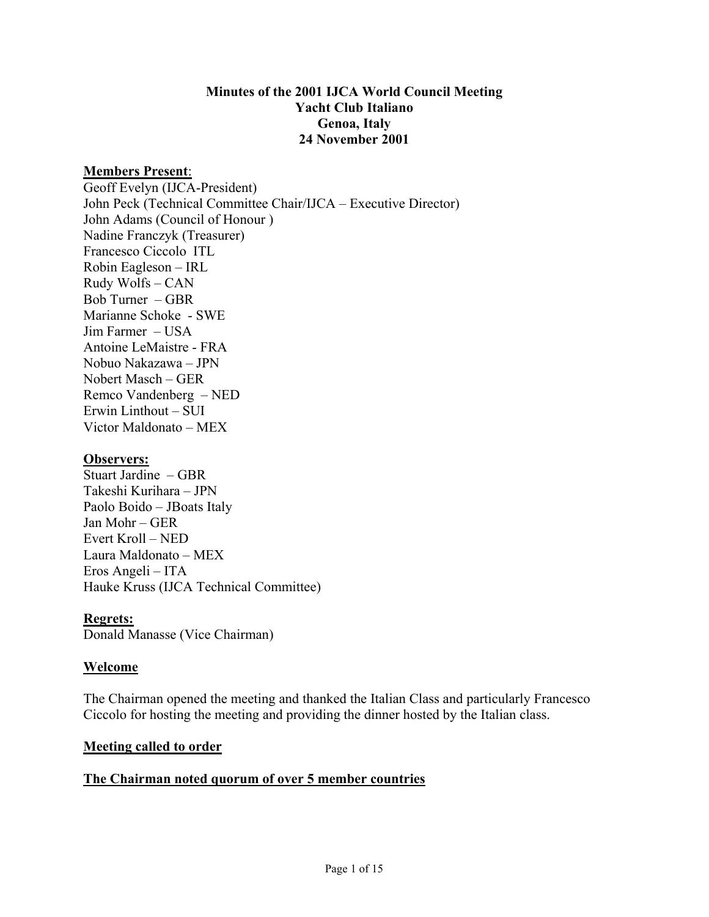#### **Minutes of the 2001 IJCA World Council Meeting Yacht Club Italiano Genoa, Italy 24 November 2001**

#### **Members Present**:

Geoff Evelyn (IJCA-President) John Peck (Technical Committee Chair/IJCA – Executive Director) John Adams (Council of Honour ) Nadine Franczyk (Treasurer) Francesco Ciccolo ITL Robin Eagleson – IRL Rudy Wolfs – CAN Bob Turner – GBR Marianne Schoke - SWE Jim Farmer – USA Antoine LeMaistre - FRA Nobuo Nakazawa – JPN Nobert Masch – GER Remco Vandenberg – NED Erwin Linthout – SUI Victor Maldonato – MEX

#### **Observers:**

Stuart Jardine – GBR Takeshi Kurihara – JPN Paolo Boido – JBoats Italy Jan Mohr – GER Evert Kroll – NED Laura Maldonato – MEX Eros Angeli – ITA Hauke Kruss (IJCA Technical Committee)

#### **Regrets:**

Donald Manasse (Vice Chairman)

#### **Welcome**

The Chairman opened the meeting and thanked the Italian Class and particularly Francesco Ciccolo for hosting the meeting and providing the dinner hosted by the Italian class.

#### **Meeting called to order**

#### **The Chairman noted quorum of over 5 member countries**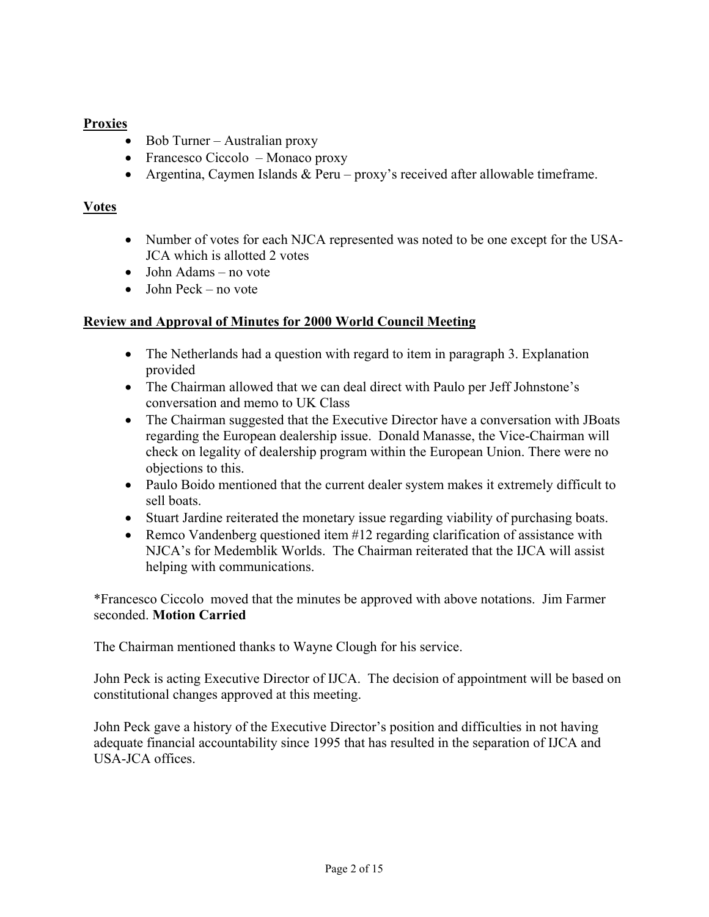# **Proxies**

- Bob Turner Australian proxy
- Francesco Ciccolo Monaco proxy
- Argentina, Caymen Islands & Peru proxy's received after allowable timeframe.

# **Votes**

- Number of votes for each NJCA represented was noted to be one except for the USA-JCA which is allotted 2 votes
- John Adams no vote
- $\bullet$  John Peck no vote

# **Review and Approval of Minutes for 2000 World Council Meeting**

- The Netherlands had a question with regard to item in paragraph 3. Explanation provided
- The Chairman allowed that we can deal direct with Paulo per Jeff Johnstone's conversation and memo to UK Class
- The Chairman suggested that the Executive Director have a conversation with JBoats regarding the European dealership issue. Donald Manasse, the Vice-Chairman will check on legality of dealership program within the European Union. There were no objections to this.
- Paulo Boido mentioned that the current dealer system makes it extremely difficult to sell boats.
- Stuart Jardine reiterated the monetary issue regarding viability of purchasing boats.
- Remco Vandenberg questioned item #12 regarding clarification of assistance with NJCA's for Medemblik Worlds. The Chairman reiterated that the IJCA will assist helping with communications.

\*Francesco Ciccolo moved that the minutes be approved with above notations. Jim Farmer seconded. **Motion Carried**

The Chairman mentioned thanks to Wayne Clough for his service.

John Peck is acting Executive Director of IJCA. The decision of appointment will be based on constitutional changes approved at this meeting.

John Peck gave a history of the Executive Director's position and difficulties in not having adequate financial accountability since 1995 that has resulted in the separation of IJCA and USA-JCA offices.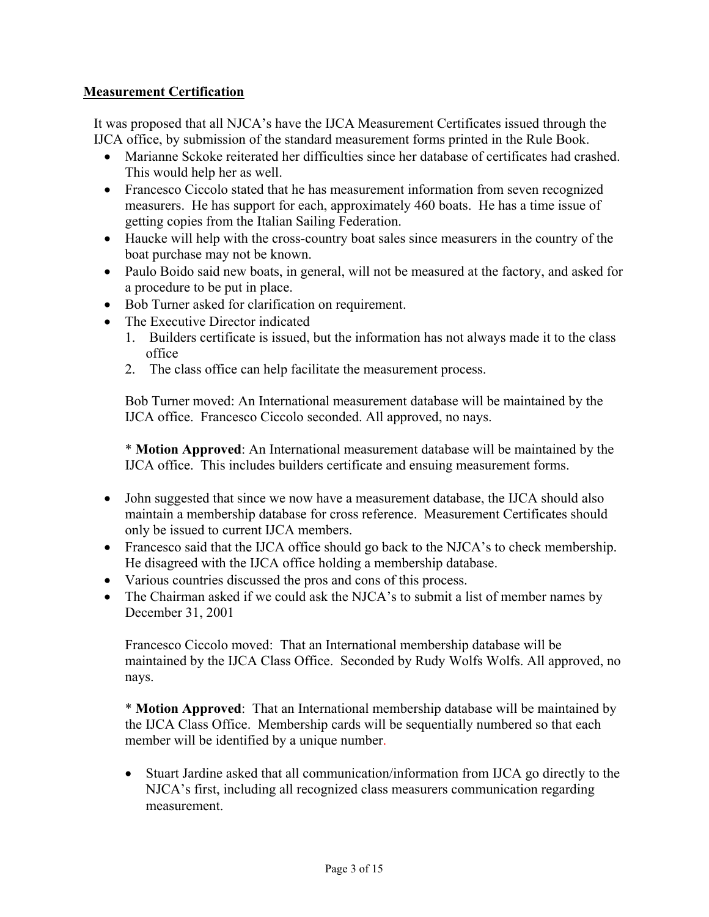### **Measurement Certification**

It was proposed that all NJCA's have the IJCA Measurement Certificates issued through the IJCA office, by submission of the standard measurement forms printed in the Rule Book.

- Marianne Sckoke reiterated her difficulties since her database of certificates had crashed. This would help her as well.
- Francesco Ciccolo stated that he has measurement information from seven recognized measurers. He has support for each, approximately 460 boats. He has a time issue of getting copies from the Italian Sailing Federation.
- Haucke will help with the cross-country boat sales since measurers in the country of the boat purchase may not be known.
- Paulo Boido said new boats, in general, will not be measured at the factory, and asked for a procedure to be put in place.
- Bob Turner asked for clarification on requirement.
- The Executive Director indicated
	- 1. Builders certificate is issued, but the information has not always made it to the class office
	- 2. The class office can help facilitate the measurement process.

Bob Turner moved: An International measurement database will be maintained by the IJCA office. Francesco Ciccolo seconded. All approved, no nays.

\* **Motion Approved**: An International measurement database will be maintained by the IJCA office. This includes builders certificate and ensuing measurement forms.

- John suggested that since we now have a measurement database, the IJCA should also maintain a membership database for cross reference. Measurement Certificates should only be issued to current IJCA members.
- Francesco said that the IJCA office should go back to the NJCA's to check membership. He disagreed with the IJCA office holding a membership database.
- Various countries discussed the pros and cons of this process.
- The Chairman asked if we could ask the NJCA's to submit a list of member names by December 31, 2001

Francesco Ciccolo moved: That an International membership database will be maintained by the IJCA Class Office. Seconded by Rudy Wolfs Wolfs. All approved, no nays.

\* **Motion Approved**: That an International membership database will be maintained by the IJCA Class Office. Membership cards will be sequentially numbered so that each member will be identified by a unique number.

• Stuart Jardine asked that all communication/information from IJCA go directly to the NJCA's first, including all recognized class measurers communication regarding measurement.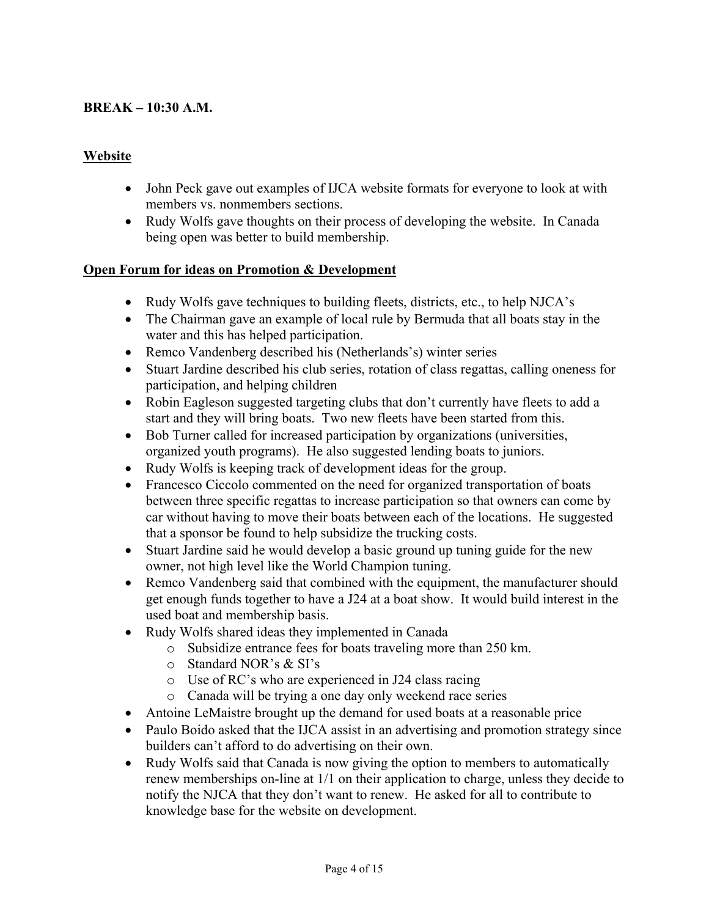### **BREAK – 10:30 A.M.**

### **Website**

- John Peck gave out examples of IJCA website formats for everyone to look at with members vs. nonmembers sections.
- Rudy Wolfs gave thoughts on their process of developing the website. In Canada being open was better to build membership.

### **Open Forum for ideas on Promotion & Development**

- Rudy Wolfs gave techniques to building fleets, districts, etc., to help NJCA's
- The Chairman gave an example of local rule by Bermuda that all boats stay in the water and this has helped participation.
- Remco Vandenberg described his (Netherlands's) winter series
- Stuart Jardine described his club series, rotation of class regattas, calling oneness for participation, and helping children
- Robin Eagleson suggested targeting clubs that don't currently have fleets to add a start and they will bring boats. Two new fleets have been started from this.
- Bob Turner called for increased participation by organizations (universities, organized youth programs). He also suggested lending boats to juniors.
- Rudy Wolfs is keeping track of development ideas for the group.
- Francesco Ciccolo commented on the need for organized transportation of boats between three specific regattas to increase participation so that owners can come by car without having to move their boats between each of the locations. He suggested that a sponsor be found to help subsidize the trucking costs.
- Stuart Jardine said he would develop a basic ground up tuning guide for the new owner, not high level like the World Champion tuning.
- Remco Vandenberg said that combined with the equipment, the manufacturer should get enough funds together to have a J24 at a boat show. It would build interest in the used boat and membership basis.
- Rudy Wolfs shared ideas they implemented in Canada
	- o Subsidize entrance fees for boats traveling more than 250 km.
	- o Standard NOR's & SI's
	- o Use of RC's who are experienced in J24 class racing
	- o Canada will be trying a one day only weekend race series
- Antoine LeMaistre brought up the demand for used boats at a reasonable price
- Paulo Boido asked that the IJCA assist in an advertising and promotion strategy since builders can't afford to do advertising on their own.
- Rudy Wolfs said that Canada is now giving the option to members to automatically renew memberships on-line at 1/1 on their application to charge, unless they decide to notify the NJCA that they don't want to renew. He asked for all to contribute to knowledge base for the website on development.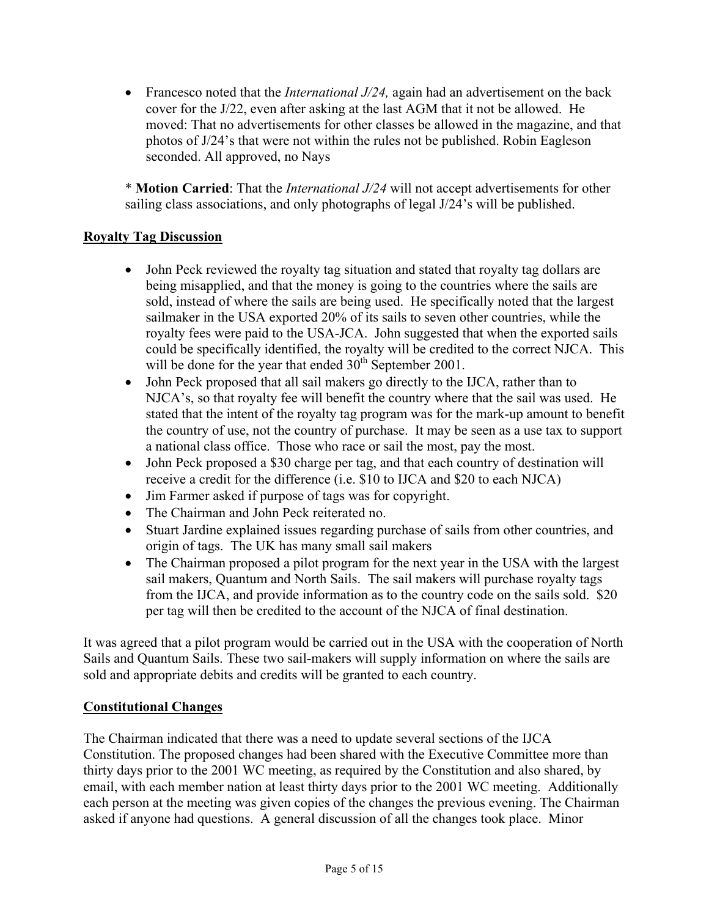• Francesco noted that the *International J/24*, again had an advertisement on the back cover for the J/22, even after asking at the last AGM that it not be allowed. He moved: That no advertisements for other classes be allowed in the magazine, and that photos of J/24's that were not within the rules not be published. Robin Eagleson seconded. All approved, no Nays

\* **Motion Carried**: That the *International J/24* will not accept advertisements for other sailing class associations, and only photographs of legal J/24's will be published.

# **Royalty Tag Discussion**

- John Peck reviewed the royalty tag situation and stated that royalty tag dollars are being misapplied, and that the money is going to the countries where the sails are sold, instead of where the sails are being used. He specifically noted that the largest sailmaker in the USA exported 20% of its sails to seven other countries, while the royalty fees were paid to the USA-JCA. John suggested that when the exported sails could be specifically identified, the royalty will be credited to the correct NJCA. This will be done for the year that ended  $30<sup>th</sup>$  September 2001.
- John Peck proposed that all sail makers go directly to the IJCA, rather than to NJCA's, so that royalty fee will benefit the country where that the sail was used. He stated that the intent of the royalty tag program was for the mark-up amount to benefit the country of use, not the country of purchase. It may be seen as a use tax to support a national class office. Those who race or sail the most, pay the most.
- John Peck proposed a \$30 charge per tag, and that each country of destination will receive a credit for the difference (i.e. \$10 to IJCA and \$20 to each NJCA)
- Jim Farmer asked if purpose of tags was for copyright.
- The Chairman and John Peck reiterated no.
- Stuart Jardine explained issues regarding purchase of sails from other countries, and origin of tags. The UK has many small sail makers
- The Chairman proposed a pilot program for the next year in the USA with the largest sail makers, Quantum and North Sails. The sail makers will purchase royalty tags from the IJCA, and provide information as to the country code on the sails sold. \$20 per tag will then be credited to the account of the NJCA of final destination.

It was agreed that a pilot program would be carried out in the USA with the cooperation of North Sails and Quantum Sails. These two sail-makers will supply information on where the sails are sold and appropriate debits and credits will be granted to each country.

### **Constitutional Changes**

The Chairman indicated that there was a need to update several sections of the IJCA Constitution. The proposed changes had been shared with the Executive Committee more than thirty days prior to the 2001 WC meeting, as required by the Constitution and also shared, by email, with each member nation at least thirty days prior to the 2001 WC meeting. Additionally each person at the meeting was given copies of the changes the previous evening. The Chairman asked if anyone had questions. A general discussion of all the changes took place. Minor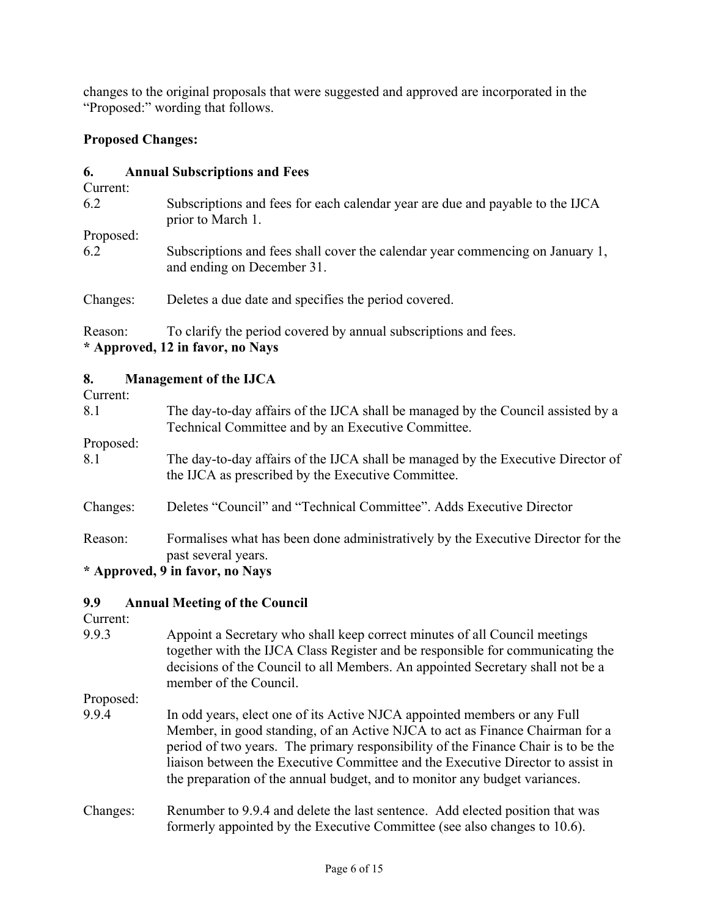changes to the original proposals that were suggested and approved are incorporated in the "Proposed:" wording that follows.

### **Proposed Changes:**

### **6. Annual Subscriptions and Fees**

| Current:         |                                                                                                             |
|------------------|-------------------------------------------------------------------------------------------------------------|
| 6.2              | Subscriptions and fees for each calendar year are due and payable to the IJCA<br>prior to March 1.          |
| Proposed:<br>6.2 | Subscriptions and fees shall cover the calendar year commencing on January 1,<br>and ending on December 31. |
| Changes:         | Deletes a due date and specifies the period covered.                                                        |

Reason: To clarify the period covered by annual subscriptions and fees. **\* Approved, 12 in favor, no Nays** 

### **8. Management of the IJCA**

Current:

| Cancuit.  |                                                                                  |  |  |
|-----------|----------------------------------------------------------------------------------|--|--|
| 8.1       | The day-to-day affairs of the IJCA shall be managed by the Council assisted by a |  |  |
|           | Technical Committee and by an Executive Committee.                               |  |  |
| Proposed: |                                                                                  |  |  |
| 8.1       | The day-to-day affairs of the IJCA shall be managed by the Executive Director of |  |  |
|           | the IJCA as prescribed by the Executive Committee.                               |  |  |
|           |                                                                                  |  |  |
| Changes:  | Deletes "Council" and "Technical Committee". Adds Executive Director             |  |  |
|           |                                                                                  |  |  |
| Reason:   | Formalises what has been done administratively by the Executive Director for the |  |  |
|           | past several years.                                                              |  |  |
|           | $\star$ Annuavad $\theta$ in favor no Nava                                       |  |  |

**\* Approved, 9 in favor, no Nays** 

### **9.9 Annual Meeting of the Council**

Current:

9.9.3 Appoint a Secretary who shall keep correct minutes of all Council meetings together with the IJCA Class Register and be responsible for communicating the decisions of the Council to all Members. An appointed Secretary shall not be a member of the Council.

Proposed:

- 9.9.4 In odd years, elect one of its Active NJCA appointed members or any Full Member, in good standing, of an Active NJCA to act as Finance Chairman for a period of two years. The primary responsibility of the Finance Chair is to be the liaison between the Executive Committee and the Executive Director to assist in the preparation of the annual budget, and to monitor any budget variances.
- Changes: Renumber to 9.9.4 and delete the last sentence. Add elected position that was formerly appointed by the Executive Committee (see also changes to 10.6).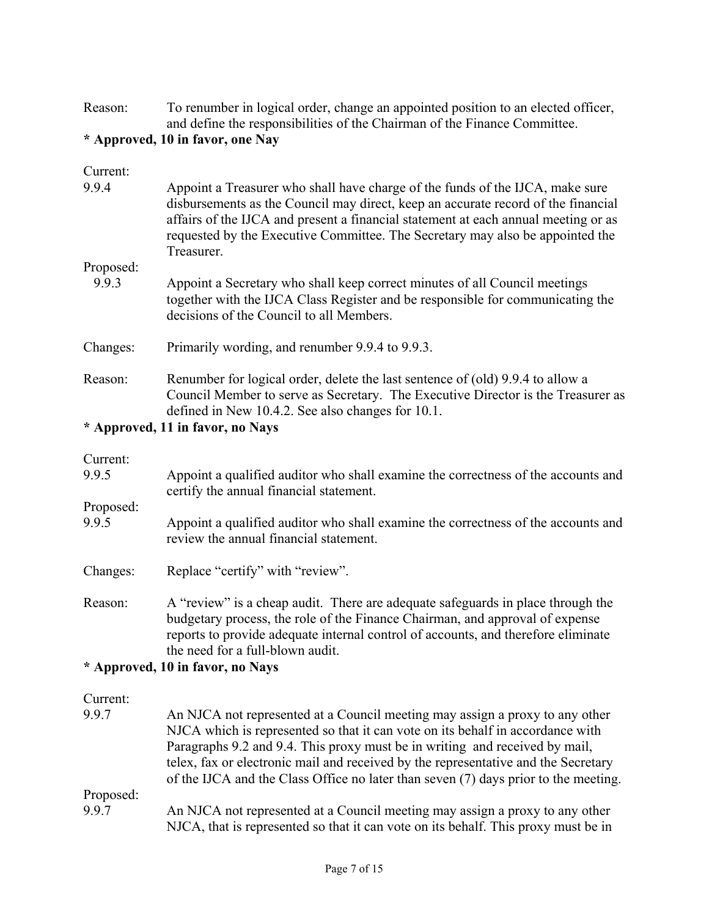Reason: To renumber in logical order, change an appointed position to an elected officer, and define the responsibilities of the Chairman of the Finance Committee.

### **\* Approved, 10 in favor, one Nay**

| Current:                         |                                                                                                                                                                                                                                                                                                                                                         |  |
|----------------------------------|---------------------------------------------------------------------------------------------------------------------------------------------------------------------------------------------------------------------------------------------------------------------------------------------------------------------------------------------------------|--|
| 9.9.4                            | Appoint a Treasurer who shall have charge of the funds of the IJCA, make sure<br>disbursements as the Council may direct, keep an accurate record of the financial<br>affairs of the IJCA and present a financial statement at each annual meeting or as<br>requested by the Executive Committee. The Secretary may also be appointed the<br>Treasurer. |  |
| Proposed:                        |                                                                                                                                                                                                                                                                                                                                                         |  |
| 9.9.3                            | Appoint a Secretary who shall keep correct minutes of all Council meetings<br>together with the IJCA Class Register and be responsible for communicating the<br>decisions of the Council to all Members.                                                                                                                                                |  |
| Changes:                         | Primarily wording, and renumber 9.9.4 to 9.9.3.                                                                                                                                                                                                                                                                                                         |  |
| Reason:                          | Renumber for logical order, delete the last sentence of (old) 9.9.4 to allow a<br>Council Member to serve as Secretary. The Executive Director is the Treasurer as<br>defined in New 10.4.2. See also changes for 10.1.                                                                                                                                 |  |
| * Approved, 11 in favor, no Nays |                                                                                                                                                                                                                                                                                                                                                         |  |

### Current:

| 9.9.5     | Appoint a qualified auditor who shall examine the correctness of the accounts and<br>certify the annual financial statement. |  |
|-----------|------------------------------------------------------------------------------------------------------------------------------|--|
| Proposed: |                                                                                                                              |  |
| 9.9.5     | Appoint a qualified auditor who shall examine the correctness of the accounts and<br>review the annual financial statement.  |  |

- Changes: Replace "certify" with "review".
- Reason: A "review" is a cheap audit. There are adequate safeguards in place through the budgetary process, the role of the Finance Chairman, and approval of expense reports to provide adequate internal control of accounts, and therefore eliminate the need for a full-blown audit.

# **\* Approved, 10 in favor, no Nays**

#### Current:

| 9.9.7     | An NJCA not represented at a Council meeting may assign a proxy to any other        |
|-----------|-------------------------------------------------------------------------------------|
|           | NJCA which is represented so that it can vote on its behalf in accordance with      |
|           | Paragraphs 9.2 and 9.4. This proxy must be in writing and received by mail,         |
|           | telex, fax or electronic mail and received by the representative and the Secretary  |
|           | of the IJCA and the Class Office no later than seven (7) days prior to the meeting. |
| Proposed: |                                                                                     |
| 9.9.7     | An NJCA not represented at a Council meeting may assign a proxy to any other        |
|           | NJCA, that is represented so that it can vote on its behalf. This proxy must be in  |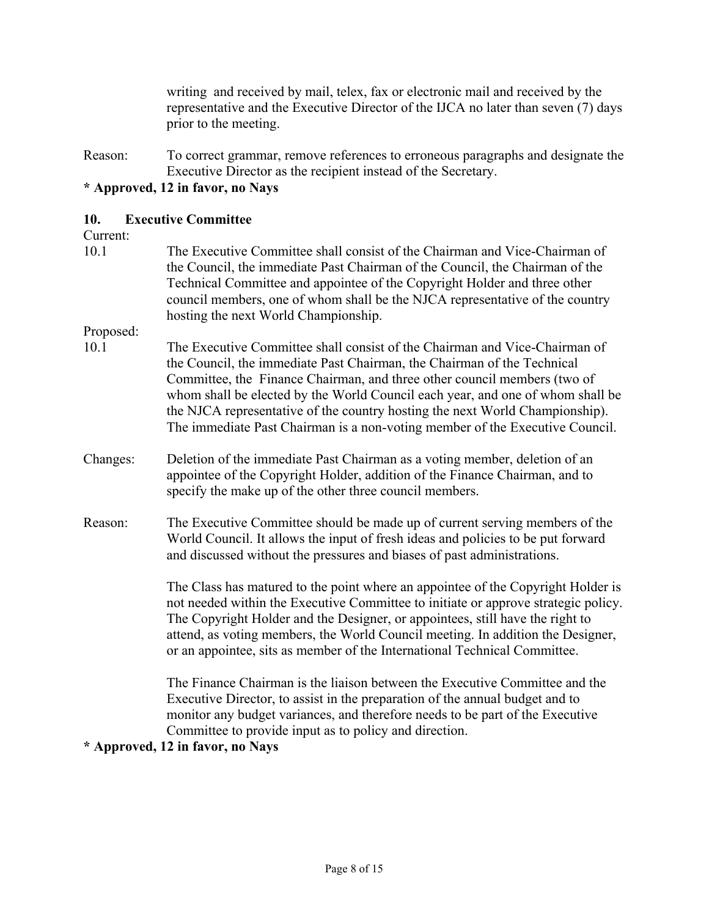writing and received by mail, telex, fax or electronic mail and received by the representative and the Executive Director of the IJCA no later than seven (7) days prior to the meeting.

Reason: To correct grammar, remove references to erroneous paragraphs and designate the Executive Director as the recipient instead of the Secretary.

### **\* Approved, 12 in favor, no Nays**

#### **10. Executive Committee**

#### Current:

10.1 The Executive Committee shall consist of the Chairman and Vice-Chairman of the Council, the immediate Past Chairman of the Council, the Chairman of the Technical Committee and appointee of the Copyright Holder and three other council members, one of whom shall be the NJCA representative of the country hosting the next World Championship.

#### Proposed:

- 10.1 The Executive Committee shall consist of the Chairman and Vice-Chairman of the Council, the immediate Past Chairman, the Chairman of the Technical Committee, the Finance Chairman, and three other council members (two of whom shall be elected by the World Council each year, and one of whom shall be the NJCA representative of the country hosting the next World Championship). The immediate Past Chairman is a non-voting member of the Executive Council.
- Changes: Deletion of the immediate Past Chairman as a voting member, deletion of an appointee of the Copyright Holder, addition of the Finance Chairman, and to specify the make up of the other three council members.
- Reason: The Executive Committee should be made up of current serving members of the World Council. It allows the input of fresh ideas and policies to be put forward and discussed without the pressures and biases of past administrations.

The Class has matured to the point where an appointee of the Copyright Holder is not needed within the Executive Committee to initiate or approve strategic policy. The Copyright Holder and the Designer, or appointees, still have the right to attend, as voting members, the World Council meeting. In addition the Designer, or an appointee, sits as member of the International Technical Committee.

The Finance Chairman is the liaison between the Executive Committee and the Executive Director, to assist in the preparation of the annual budget and to monitor any budget variances, and therefore needs to be part of the Executive Committee to provide input as to policy and direction.

#### **\* Approved, 12 in favor, no Nays**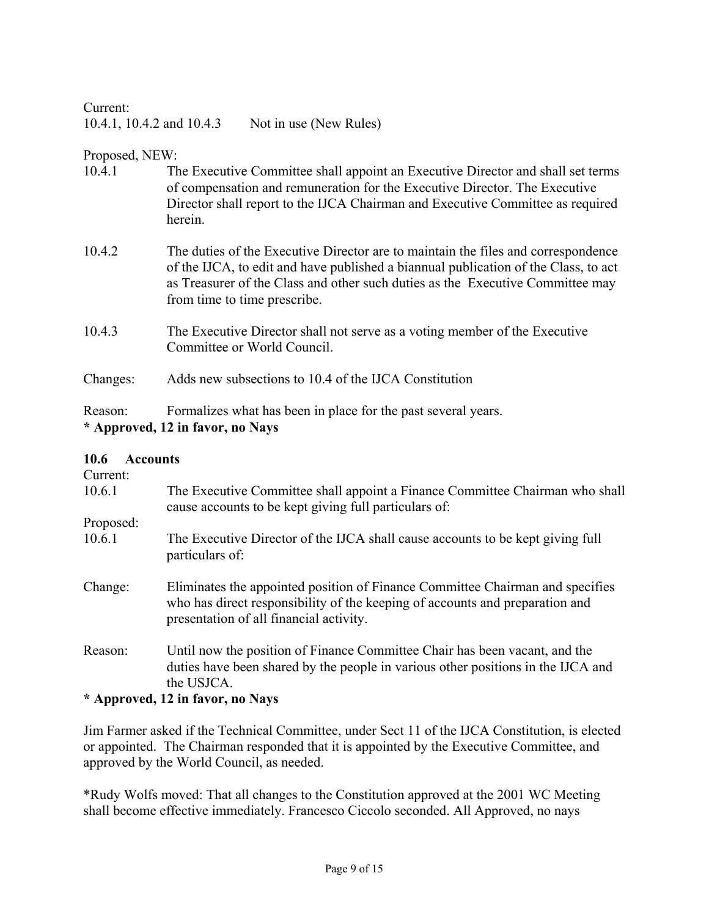Current: 10.4.1, 10.4.2 and 10.4.3 Not in use (New Rules)

Proposed, NEW:

- 10.4.1 The Executive Committee shall appoint an Executive Director and shall set terms of compensation and remuneration for the Executive Director. The Executive Director shall report to the IJCA Chairman and Executive Committee as required herein.
- 10.4.2 The duties of the Executive Director are to maintain the files and correspondence of the IJCA, to edit and have published a biannual publication of the Class, to act as Treasurer of the Class and other such duties as the Executive Committee may from time to time prescribe.
- 10.4.3 The Executive Director shall not serve as a voting member of the Executive Committee or World Council.

Changes: Adds new subsections to 10.4 of the IJCA Constitution

Reason: Formalizes what has been in place for the past several years. **\* Approved, 12 in favor, no Nays** 

#### **10.6 Accounts**

| .                   | 11000                                                                                                                                                                                                    |
|---------------------|----------------------------------------------------------------------------------------------------------------------------------------------------------------------------------------------------------|
| Current:            |                                                                                                                                                                                                          |
| 10.6.1              | The Executive Committee shall appoint a Finance Committee Chairman who shall<br>cause accounts to be kept giving full particulars of:                                                                    |
| Proposed:           |                                                                                                                                                                                                          |
| 10.6.1              | The Executive Director of the IJCA shall cause accounts to be kept giving full<br>particulars of:                                                                                                        |
| Change:             | Eliminates the appointed position of Finance Committee Chairman and specifies<br>who has direct responsibility of the keeping of accounts and preparation and<br>presentation of all financial activity. |
| Reason:             | Until now the position of Finance Committee Chair has been vacant, and the<br>duties have been shared by the people in various other positions in the IJCA and<br>the USJCA.                             |
| $\bullet$ $\bullet$ |                                                                                                                                                                                                          |

### **\* Approved, 12 in favor, no Nays**

Jim Farmer asked if the Technical Committee, under Sect 11 of the IJCA Constitution, is elected or appointed. The Chairman responded that it is appointed by the Executive Committee, and approved by the World Council, as needed.

\*Rudy Wolfs moved: That all changes to the Constitution approved at the 2001 WC Meeting shall become effective immediately. Francesco Ciccolo seconded. All Approved, no nays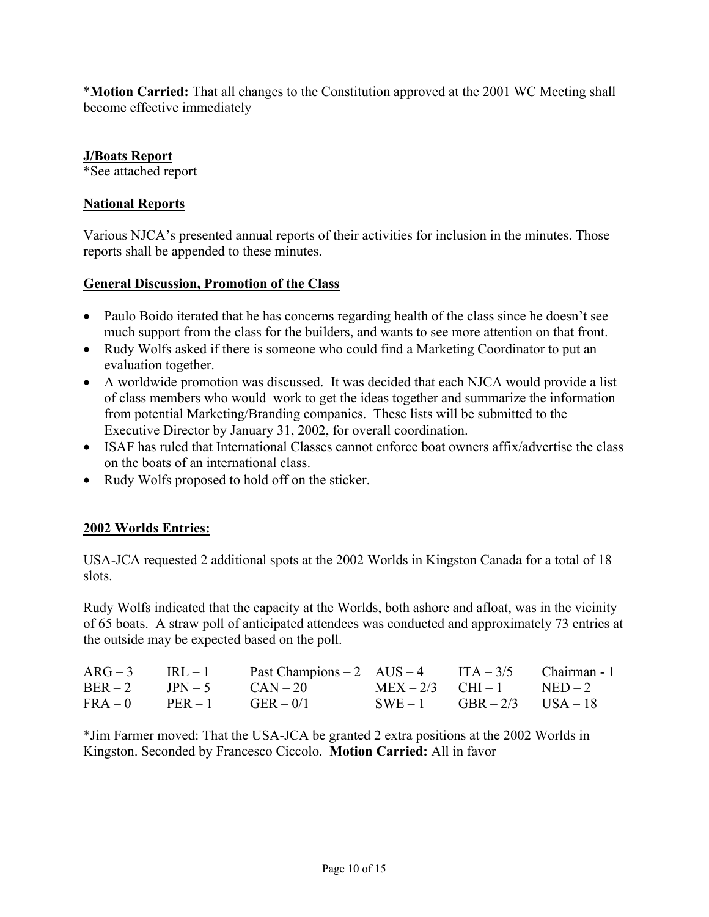\***Motion Carried:** That all changes to the Constitution approved at the 2001 WC Meeting shall become effective immediately

### **J/Boats Report**

\*See attached report

### **National Reports**

Various NJCA's presented annual reports of their activities for inclusion in the minutes. Those reports shall be appended to these minutes.

### **General Discussion, Promotion of the Class**

- Paulo Boido iterated that he has concerns regarding health of the class since he doesn't see much support from the class for the builders, and wants to see more attention on that front.
- Rudy Wolfs asked if there is someone who could find a Marketing Coordinator to put an evaluation together.
- A worldwide promotion was discussed. It was decided that each NJCA would provide a list of class members who would work to get the ideas together and summarize the information from potential Marketing/Branding companies. These lists will be submitted to the Executive Director by January 31, 2002, for overall coordination.
- ISAF has ruled that International Classes cannot enforce boat owners affix/advertise the class on the boats of an international class.
- Rudy Wolfs proposed to hold off on the sticker.

#### **2002 Worlds Entries:**

USA-JCA requested 2 additional spots at the 2002 Worlds in Kingston Canada for a total of 18 slots.

Rudy Wolfs indicated that the capacity at the Worlds, both ashore and afloat, was in the vicinity of 65 boats. A straw poll of anticipated attendees was conducted and approximately 73 entries at the outside may be expected based on the poll.

|                                 | $ARG-3$ IRL - 1 Past Champions - 2 AUS - 4 ITA - 3/5 Chairman - 1 |                            |  |
|---------------------------------|-------------------------------------------------------------------|----------------------------|--|
| $BER-2$ $IPN-5$                 | $CAN - 20$ $MEX - 2/3$ $CHI - 1$ $NED - 2$                        |                            |  |
| $FRA - 0$ $PER - 1$ $GER - 0/1$ |                                                                   | $SWE-1$ $GBR-2/3$ $USA-18$ |  |

\*Jim Farmer moved: That the USA-JCA be granted 2 extra positions at the 2002 Worlds in Kingston. Seconded by Francesco Ciccolo. **Motion Carried:** All in favor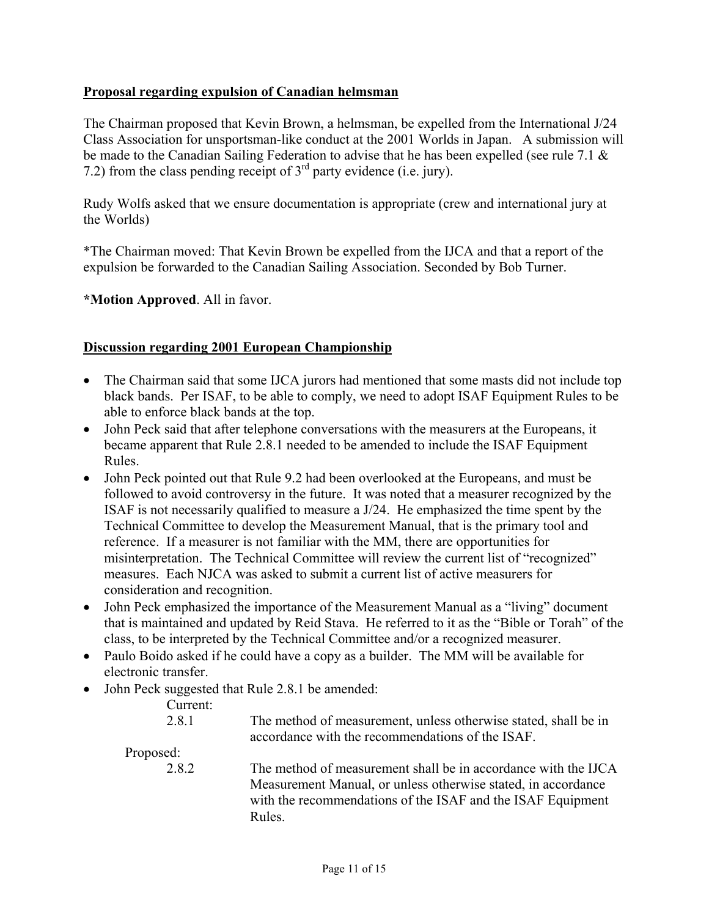### **Proposal regarding expulsion of Canadian helmsman**

The Chairman proposed that Kevin Brown, a helmsman, be expelled from the International J/24 Class Association for unsportsman-like conduct at the 2001 Worlds in Japan. A submission will be made to the Canadian Sailing Federation to advise that he has been expelled (see rule 7.1 & 7.2) from the class pending receipt of  $3<sup>rd</sup>$  party evidence (i.e. jury).

Rudy Wolfs asked that we ensure documentation is appropriate (crew and international jury at the Worlds)

\*The Chairman moved: That Kevin Brown be expelled from the IJCA and that a report of the expulsion be forwarded to the Canadian Sailing Association. Seconded by Bob Turner.

**\*Motion Approved**. All in favor.

### **Discussion regarding 2001 European Championship**

- The Chairman said that some IJCA jurors had mentioned that some masts did not include top black bands. Per ISAF, to be able to comply, we need to adopt ISAF Equipment Rules to be able to enforce black bands at the top.
- John Peck said that after telephone conversations with the measurers at the Europeans, it became apparent that Rule 2.8.1 needed to be amended to include the ISAF Equipment Rules.
- John Peck pointed out that Rule 9.2 had been overlooked at the Europeans, and must be followed to avoid controversy in the future. It was noted that a measurer recognized by the ISAF is not necessarily qualified to measure a J/24. He emphasized the time spent by the Technical Committee to develop the Measurement Manual, that is the primary tool and reference. If a measurer is not familiar with the MM, there are opportunities for misinterpretation. The Technical Committee will review the current list of "recognized" measures. Each NJCA was asked to submit a current list of active measurers for consideration and recognition.
- John Peck emphasized the importance of the Measurement Manual as a "living" document that is maintained and updated by Reid Stava. He referred to it as the "Bible or Torah" of the class, to be interpreted by the Technical Committee and/or a recognized measurer.
- Paulo Boido asked if he could have a copy as a builder. The MM will be available for electronic transfer.
- John Peck suggested that Rule 2.8.1 be amended:

|           | $\frac{1}{2}$                                                                                                                                                                                            |
|-----------|----------------------------------------------------------------------------------------------------------------------------------------------------------------------------------------------------------|
| Current:  |                                                                                                                                                                                                          |
| 2.8.1     | The method of measurement, unless otherwise stated, shall be in<br>accordance with the recommendations of the ISAF.                                                                                      |
| Proposed: |                                                                                                                                                                                                          |
| 2.8.2     | The method of measurement shall be in accordance with the IJCA<br>Measurement Manual, or unless otherwise stated, in accordance<br>with the recommendations of the ISAF and the ISAF Equipment<br>Rules. |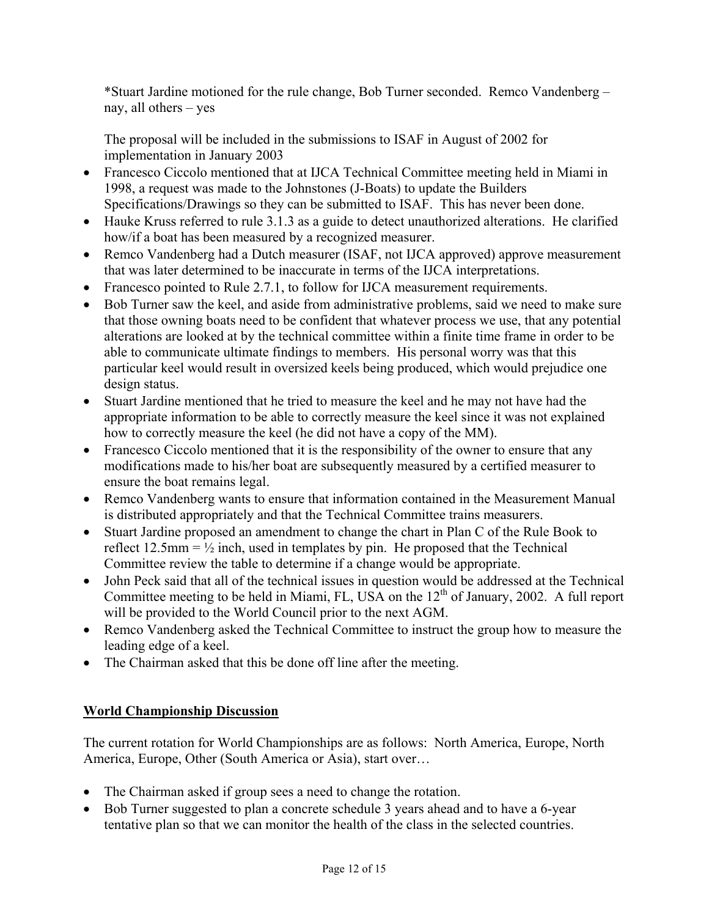\*Stuart Jardine motioned for the rule change, Bob Turner seconded. Remco Vandenberg – nay, all others – yes

The proposal will be included in the submissions to ISAF in August of 2002 for implementation in January 2003

- Francesco Ciccolo mentioned that at IJCA Technical Committee meeting held in Miami in 1998, a request was made to the Johnstones (J-Boats) to update the Builders Specifications/Drawings so they can be submitted to ISAF. This has never been done.
- Hauke Kruss referred to rule 3.1.3 as a guide to detect unauthorized alterations. He clarified how/if a boat has been measured by a recognized measurer.
- Remco Vandenberg had a Dutch measurer (ISAF, not IJCA approved) approve measurement that was later determined to be inaccurate in terms of the IJCA interpretations.
- Francesco pointed to Rule 2.7.1, to follow for IJCA measurement requirements.
- Bob Turner saw the keel, and aside from administrative problems, said we need to make sure that those owning boats need to be confident that whatever process we use, that any potential alterations are looked at by the technical committee within a finite time frame in order to be able to communicate ultimate findings to members. His personal worry was that this particular keel would result in oversized keels being produced, which would prejudice one design status.
- Stuart Jardine mentioned that he tried to measure the keel and he may not have had the appropriate information to be able to correctly measure the keel since it was not explained how to correctly measure the keel (he did not have a copy of the MM).
- Francesco Ciccolo mentioned that it is the responsibility of the owner to ensure that any modifications made to his/her boat are subsequently measured by a certified measurer to ensure the boat remains legal.
- Remco Vandenberg wants to ensure that information contained in the Measurement Manual is distributed appropriately and that the Technical Committee trains measurers.
- Stuart Jardine proposed an amendment to change the chart in Plan C of the Rule Book to reflect 12.5mm =  $\frac{1}{2}$  inch, used in templates by pin. He proposed that the Technical Committee review the table to determine if a change would be appropriate.
- John Peck said that all of the technical issues in question would be addressed at the Technical Committee meeting to be held in Miami, FL, USA on the  $12<sup>th</sup>$  of January, 2002. A full report will be provided to the World Council prior to the next AGM.
- Remco Vandenberg asked the Technical Committee to instruct the group how to measure the leading edge of a keel.
- The Chairman asked that this be done off line after the meeting.

# **World Championship Discussion**

The current rotation for World Championships are as follows: North America, Europe, North America, Europe, Other (South America or Asia), start over…

- The Chairman asked if group sees a need to change the rotation.
- Bob Turner suggested to plan a concrete schedule 3 years ahead and to have a 6-year tentative plan so that we can monitor the health of the class in the selected countries.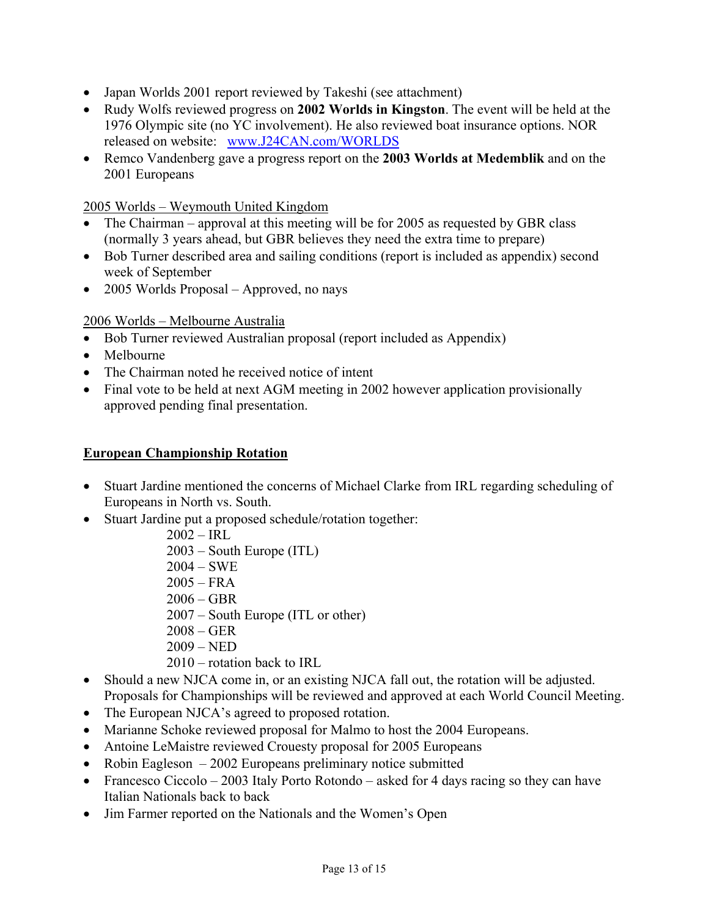- Japan Worlds 2001 report reviewed by Takeshi (see attachment)
- Rudy Wolfs reviewed progress on **2002 Worlds in Kingston**. The event will be held at the 1976 Olympic site (no YC involvement). He also reviewed boat insurance options. NOR released on website: [www.J24CAN.com/WORLDS](http://www.j24can.com/WORLDS)
- Remco Vandenberg gave a progress report on the **2003 Worlds at Medemblik** and on the 2001 Europeans

2005 Worlds – Weymouth United Kingdom

- The Chairman approval at this meeting will be for 2005 as requested by GBR class (normally 3 years ahead, but GBR believes they need the extra time to prepare)
- Bob Turner described area and sailing conditions (report is included as appendix) second week of September
- 2005 Worlds Proposal Approved, no nays

### 2006 Worlds – Melbourne Australia

- Bob Turner reviewed Australian proposal (report included as Appendix)
- Melbourne
- The Chairman noted he received notice of intent
- Final vote to be held at next AGM meeting in 2002 however application provisionally approved pending final presentation.

#### **European Championship Rotation**

- Stuart Jardine mentioned the concerns of Michael Clarke from IRL regarding scheduling of Europeans in North vs. South.
- Stuart Jardine put a proposed schedule/rotation together:
	- $2002 IRL$
	- 2003 South Europe (ITL)
	- 2004 SWE
	- $2005 FRA$
	- 2006 GBR
	- 2007 South Europe (ITL or other)
	- 2008 GER
	- $2009 NED$
	- 2010 rotation back to IRL
- Should a new NJCA come in, or an existing NJCA fall out, the rotation will be adjusted. Proposals for Championships will be reviewed and approved at each World Council Meeting.
- The European NJCA's agreed to proposed rotation.
- Marianne Schoke reviewed proposal for Malmo to host the 2004 Europeans.
- Antoine LeMaistre reviewed Crouesty proposal for 2005 Europeans
- Robin Eagleson 2002 Europeans preliminary notice submitted
- Francesco Ciccolo 2003 Italy Porto Rotondo asked for 4 days racing so they can have Italian Nationals back to back
- Jim Farmer reported on the Nationals and the Women's Open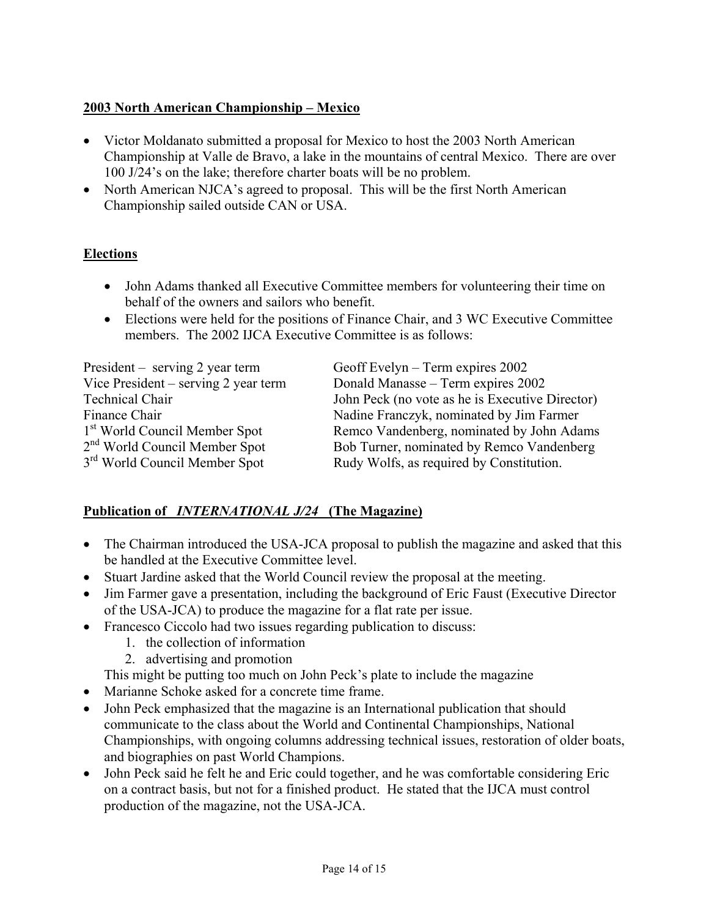# **2003 North American Championship – Mexico**

- Victor Moldanato submitted a proposal for Mexico to host the 2003 North American Championship at Valle de Bravo, a lake in the mountains of central Mexico. There are over 100 J/24's on the lake; therefore charter boats will be no problem.
- North American NJCA's agreed to proposal. This will be the first North American Championship sailed outside CAN or USA.

# **Elections**

- John Adams thanked all Executive Committee members for volunteering their time on behalf of the owners and sailors who benefit.
- Elections were held for the positions of Finance Chair, and 3 WC Executive Committee members. The 2002 IJCA Executive Committee is as follows:

| $President - serving 2 year term$         | Geoff Evelyn – Term expires $2002$              |
|-------------------------------------------|-------------------------------------------------|
| Vice President – serving 2 year term      | Donald Manasse – Term expires 2002              |
| <b>Technical Chair</b>                    | John Peck (no vote as he is Executive Director) |
| Finance Chair                             | Nadine Franczyk, nominated by Jim Farmer        |
| 1 <sup>st</sup> World Council Member Spot | Remco Vandenberg, nominated by John Adams       |
| 2 <sup>nd</sup> World Council Member Spot | Bob Turner, nominated by Remco Vandenberg       |
| 3 <sup>rd</sup> World Council Member Spot | Rudy Wolfs, as required by Constitution.        |

# **Publication of** *INTERNATIONAL J/24* **(The Magazine)**

- The Chairman introduced the USA-JCA proposal to publish the magazine and asked that this be handled at the Executive Committee level.
- Stuart Jardine asked that the World Council review the proposal at the meeting.
- Jim Farmer gave a presentation, including the background of Eric Faust (Executive Director of the USA-JCA) to produce the magazine for a flat rate per issue.
- Francesco Ciccolo had two issues regarding publication to discuss:
	- 1. the collection of information
	- 2. advertising and promotion

This might be putting too much on John Peck's plate to include the magazine

- Marianne Schoke asked for a concrete time frame.
- John Peck emphasized that the magazine is an International publication that should communicate to the class about the World and Continental Championships, National Championships, with ongoing columns addressing technical issues, restoration of older boats, and biographies on past World Champions.
- John Peck said he felt he and Eric could together, and he was comfortable considering Eric on a contract basis, but not for a finished product. He stated that the IJCA must control production of the magazine, not the USA-JCA.